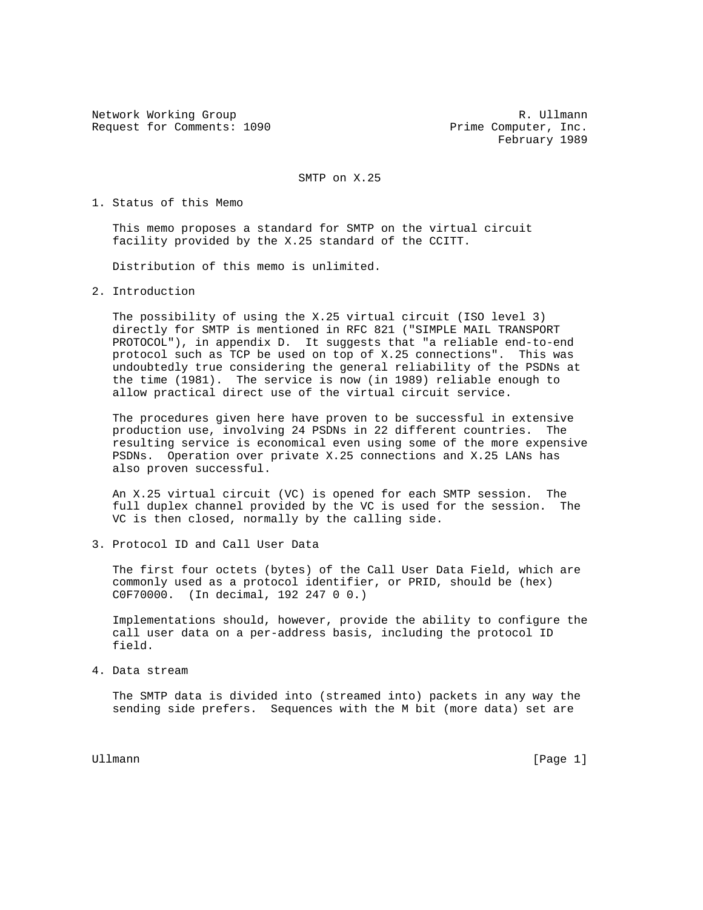Network Working Group and the set of the set of the set of the R. Ullmann Request for Comments: 1090 Prime Computer, Inc.

February 1989

SMTP on X.25

1. Status of this Memo

 This memo proposes a standard for SMTP on the virtual circuit facility provided by the X.25 standard of the CCITT.

Distribution of this memo is unlimited.

2. Introduction

 The possibility of using the X.25 virtual circuit (ISO level 3) directly for SMTP is mentioned in RFC 821 ("SIMPLE MAIL TRANSPORT PROTOCOL"), in appendix D. It suggests that "a reliable end-to-end protocol such as TCP be used on top of X.25 connections". This was undoubtedly true considering the general reliability of the PSDNs at the time (1981). The service is now (in 1989) reliable enough to allow practical direct use of the virtual circuit service.

 The procedures given here have proven to be successful in extensive production use, involving 24 PSDNs in 22 different countries. The resulting service is economical even using some of the more expensive PSDNs. Operation over private X.25 connections and X.25 LANs has also proven successful.

 An X.25 virtual circuit (VC) is opened for each SMTP session. The full duplex channel provided by the VC is used for the session. The VC is then closed, normally by the calling side.

3. Protocol ID and Call User Data

 The first four octets (bytes) of the Call User Data Field, which are commonly used as a protocol identifier, or PRID, should be (hex) C0F70000. (In decimal, 192 247 0 0.)

 Implementations should, however, provide the ability to configure the call user data on a per-address basis, including the protocol ID field.

4. Data stream

 The SMTP data is divided into (streamed into) packets in any way the sending side prefers. Sequences with the M bit (more data) set are

Ullmann [Page 1]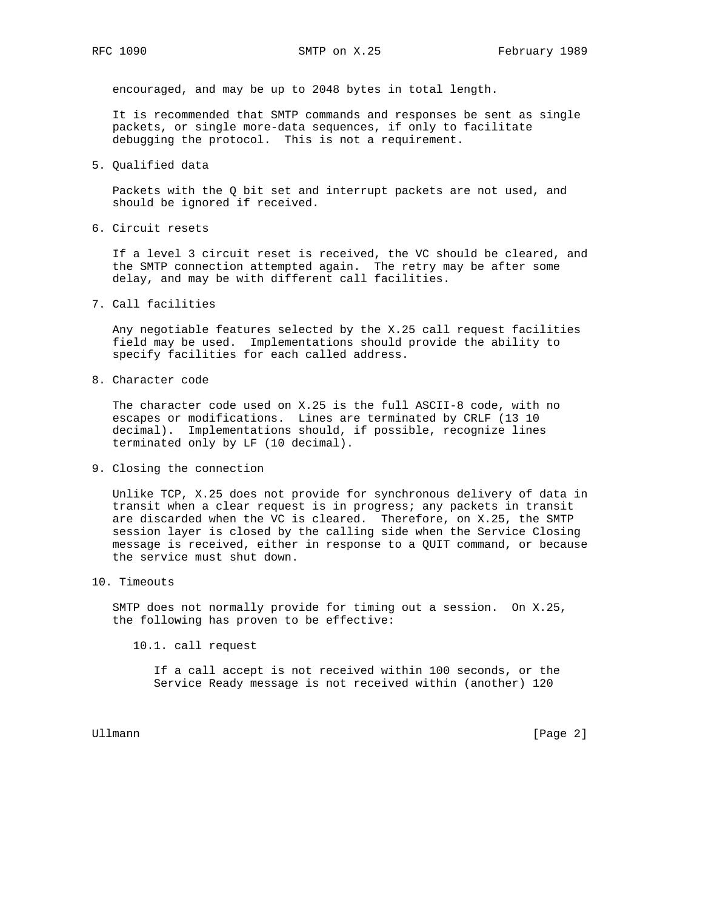encouraged, and may be up to 2048 bytes in total length.

 It is recommended that SMTP commands and responses be sent as single packets, or single more-data sequences, if only to facilitate debugging the protocol. This is not a requirement.

5. Qualified data

 Packets with the Q bit set and interrupt packets are not used, and should be ignored if received.

6. Circuit resets

 If a level 3 circuit reset is received, the VC should be cleared, and the SMTP connection attempted again. The retry may be after some delay, and may be with different call facilities.

7. Call facilities

 Any negotiable features selected by the X.25 call request facilities field may be used. Implementations should provide the ability to specify facilities for each called address.

8. Character code

 The character code used on X.25 is the full ASCII-8 code, with no escapes or modifications. Lines are terminated by CRLF (13 10 decimal). Implementations should, if possible, recognize lines terminated only by LF (10 decimal).

9. Closing the connection

 Unlike TCP, X.25 does not provide for synchronous delivery of data in transit when a clear request is in progress; any packets in transit are discarded when the VC is cleared. Therefore, on X.25, the SMTP session layer is closed by the calling side when the Service Closing message is received, either in response to a QUIT command, or because the service must shut down.

10. Timeouts

 SMTP does not normally provide for timing out a session. On X.25, the following has proven to be effective:

10.1. call request

 If a call accept is not received within 100 seconds, or the Service Ready message is not received within (another) 120

Ullmann [Page 2]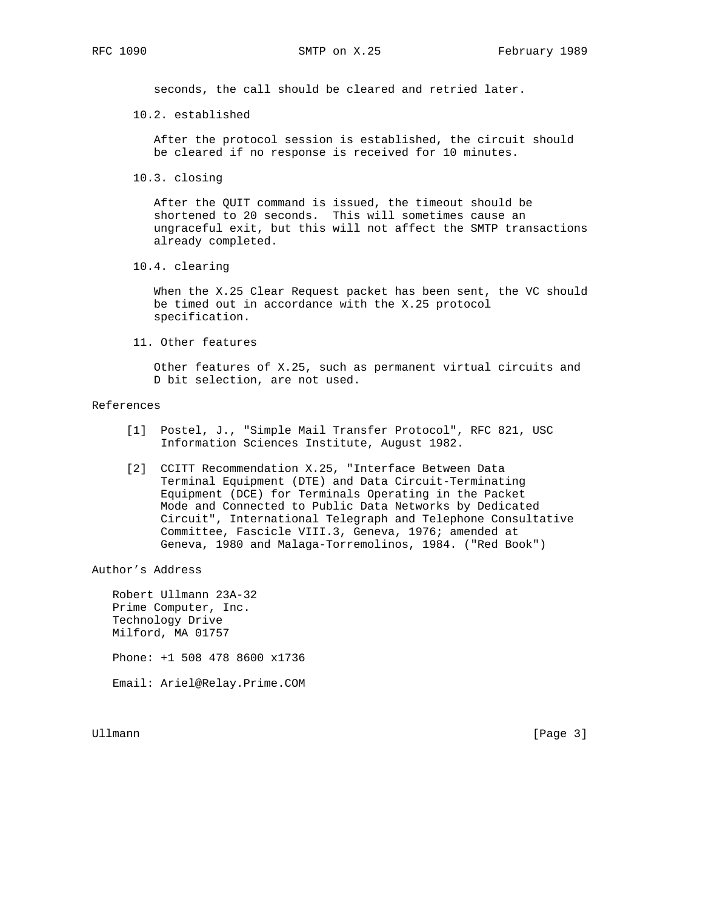seconds, the call should be cleared and retried later.

10.2. established

 After the protocol session is established, the circuit should be cleared if no response is received for 10 minutes.

10.3. closing

 After the QUIT command is issued, the timeout should be shortened to 20 seconds. This will sometimes cause an ungraceful exit, but this will not affect the SMTP transactions already completed.

10.4. clearing

 When the X.25 Clear Request packet has been sent, the VC should be timed out in accordance with the X.25 protocol specification.

11. Other features

 Other features of X.25, such as permanent virtual circuits and D bit selection, are not used.

## References

- [1] Postel, J., "Simple Mail Transfer Protocol", RFC 821, USC Information Sciences Institute, August 1982.
- [2] CCITT Recommendation X.25, "Interface Between Data Terminal Equipment (DTE) and Data Circuit-Terminating Equipment (DCE) for Terminals Operating in the Packet Mode and Connected to Public Data Networks by Dedicated Circuit", International Telegraph and Telephone Consultative Committee, Fascicle VIII.3, Geneva, 1976; amended at Geneva, 1980 and Malaga-Torremolinos, 1984. ("Red Book")

Author's Address

 Robert Ullmann 23A-32 Prime Computer, Inc. Technology Drive Milford, MA 01757 Phone: +1 508 478 8600 x1736 Email: Ariel@Relay.Prime.COM

Ullmann [Page 3]